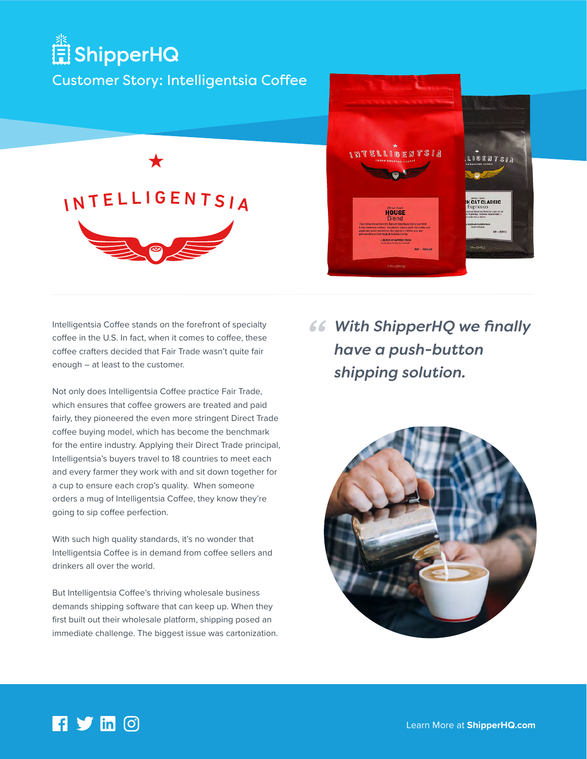## ShipperHQ

## Customer Story: Intelligentsia Coffee





Intelligentsia Coffee stands on the forefront of specialty coffee in the U.S. In fact, when it comes to coffee, these coffee crafters decided that Fair Trade wasn't quite fair enough – at least to the customer.

Not only does Intelligentsia Coffee practice Fair Trade, which ensures that coffee growers are treated and paid fairly, they pioneered the even more stringent Direct Trade coffee buying model, which has become the benchmark for the entire industry. Applying their Direct Trade principal, Intelligentsia's buyers travel to 18 countries to meet each and every farmer they work with and sit down together for a cup to ensure each crop's quality. When someone orders a mug of Intelligentsia Coffee, they know they're going to sip coffee perfection.

With such high quality standards, it's no wonder that Intelligentsia Coffee is in demand from coffee sellers and drinkers all over the world.

But Intelligentsia Coffee's thriving wholesale business demands shipping software that can keep up. When they first built out their wholesale platform, shipping posed an immediate challenge. The biggest issue was cartonization. *CC* With ShipperHQ we finally have a push-button *have a push-button shipping solution.*